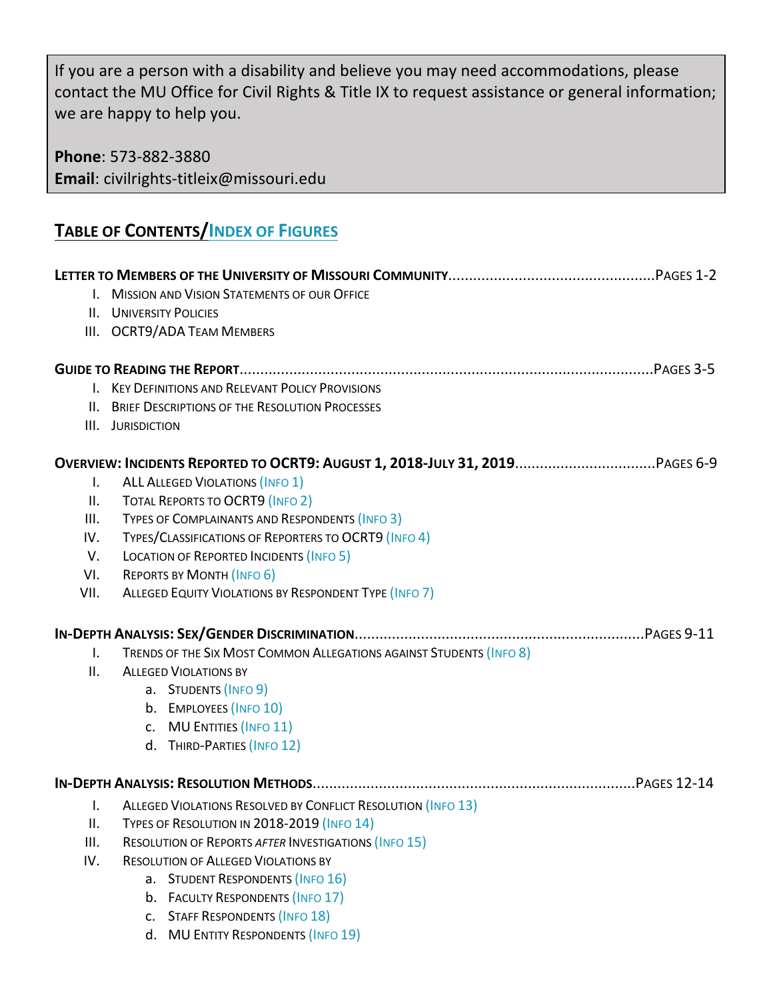If you are a person with a disability and believe you may need accommodations, please contact the MU Office for Civil Rights & Title IX to request assistance or general information; we are happy to help you.

# **Phone**: 573-882-3880 **Email**: civilrights-titleix@missouri.edu

# **TABLE OF CONTENTS/INDEX OF FIGURES**

|              | I. MISSION AND VISION STATEMENTS OF OUR OFFICE                      |
|--------------|---------------------------------------------------------------------|
|              | <b>II. UNIVERSITY POLICIES</b>                                      |
|              | III. OCRT9/ADA TEAM MEMBERS                                         |
|              |                                                                     |
|              | I. KEY DEFINITIONS AND RELEVANT POLICY PROVISIONS                   |
|              | II. BRIEF DESCRIPTIONS OF THE RESOLUTION PROCESSES                  |
|              | III. JURISDICTION                                                   |
|              |                                                                     |
| $\mathsf{L}$ | <b>ALL ALLEGED VIOLATIONS (INFO 1)</b>                              |
| Ш.           | TOTAL REPORTS TO OCRT9 (INFO 2)                                     |
| III.         | TYPES OF COMPLAINANTS AND RESPONDENTS (INFO 3)                      |
| IV.          | TYPES/CLASSIFICATIONS OF REPORTERS TO OCRT9 (INFO 4)                |
| V.           | <b>LOCATION OF REPORTED INCIDENTS (INFO 5)</b>                      |
| VI.          | <b>REPORTS BY MONTH (INFO 6)</b>                                    |
| VII.         | <b>ALLEGED EQUITY VIOLATIONS BY RESPONDENT TYPE (INFO 7)</b>        |
|              |                                                                     |
| $\mathsf{L}$ | TRENDS OF THE SIX MOST COMMON ALLEGATIONS AGAINST STUDENTS (INFO 8) |
| II.          | <b>ALLEGED VIOLATIONS BY</b>                                        |
|              | a. STUDENTS (INFO 9)                                                |
|              | b. EMPLOYEES (INFO 10)                                              |
|              | C. MU ENTITIES (INFO 11)                                            |
|              | d. THIRD-PARTIES (INFO 12)                                          |
|              |                                                                     |
| $\mathbf{L}$ | ALLEGED VIOLATIONS RESOLVED BY CONFLICT RESOLUTION (INFO 13)        |
| Н.           | TYPES OF RESOLUTION IN 2018-2019 (INFO 14)                          |
| Ш.           | <b>RESOLUTION OF REPORTS AFTER INVESTIGATIONS (INFO 15)</b>         |
| IV.          | <b>RESOLUTION OF ALLEGED VIOLATIONS BY</b>                          |
|              | <b>STUDENT RESPONDENTS (INFO 16)</b><br>а.                          |
|              | <b>FACULTY RESPONDENTS (INFO 17)</b><br>b.                          |
|              | <b>STAFF RESPONDENTS (INFO 18)</b><br>c.                            |
|              | <b>MU ENTITY RESPONDENTS (INFO 19)</b><br>d.                        |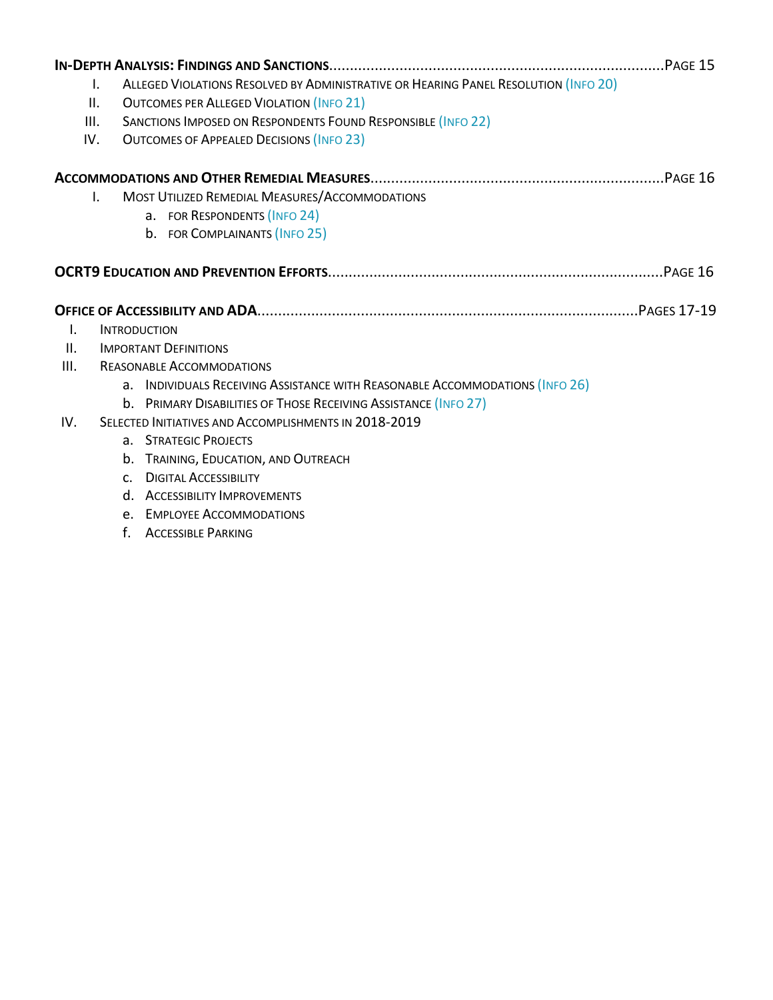|              | I.                               | ALLEGED VIOLATIONS RESOLVED BY ADMINISTRATIVE OR HEARING PANEL RESOLUTION (INFO 20) |  |  |  |
|--------------|----------------------------------|-------------------------------------------------------------------------------------|--|--|--|
|              | Ш.                               | <b>OUTCOMES PER ALLEGED VIOLATION (INFO 21)</b>                                     |  |  |  |
|              | III.                             | SANCTIONS IMPOSED ON RESPONDENTS FOUND RESPONSIBLE (INFO 22)                        |  |  |  |
|              | IV.                              | <b>OUTCOMES OF APPEALED DECISIONS (INFO 23)</b>                                     |  |  |  |
|              |                                  |                                                                                     |  |  |  |
|              | $\mathbf{L}$                     | MOST UTILIZED REMEDIAL MEASURES/ACCOMMODATIONS                                      |  |  |  |
|              |                                  | a. FOR RESPONDENTS (INFO 24)                                                        |  |  |  |
|              |                                  | b. FOR COMPLAINANTS (INFO 25)                                                       |  |  |  |
|              |                                  |                                                                                     |  |  |  |
|              |                                  |                                                                                     |  |  |  |
| $\mathbf{L}$ |                                  | <b>INTRODUCTION</b>                                                                 |  |  |  |
| $\Pi$ .      |                                  | <b>IMPORTANT DEFINITIONS</b>                                                        |  |  |  |
| III.         | <b>REASONABLE ACCOMMODATIONS</b> |                                                                                     |  |  |  |
|              |                                  | a. INDIVIDUALS RECEIVING ASSISTANCE WITH REASONABLE ACCOMMODATIONS (INFO 26)        |  |  |  |
|              |                                  | b. PRIMARY DISABILITIES OF THOSE RECEIVING ASSISTANCE (INFO 27)                     |  |  |  |
| IV.          |                                  | SELECTED INITIATIVES AND ACCOMPLISHMENTS IN 2018-2019                               |  |  |  |
|              |                                  | a. STRATEGIC PROJECTS                                                               |  |  |  |
|              |                                  | <b>b. TRAINING, EDUCATION, AND OUTREACH</b>                                         |  |  |  |
|              | C <sub>1</sub>                   | <b>DIGITAL ACCESSIBILITY</b>                                                        |  |  |  |
|              |                                  | d. ACCESSIBILITY IMPROVEMENTS                                                       |  |  |  |

- e. EMPLOYEE ACCOMMODATIONS
- f. ACCESSIBLE PARKING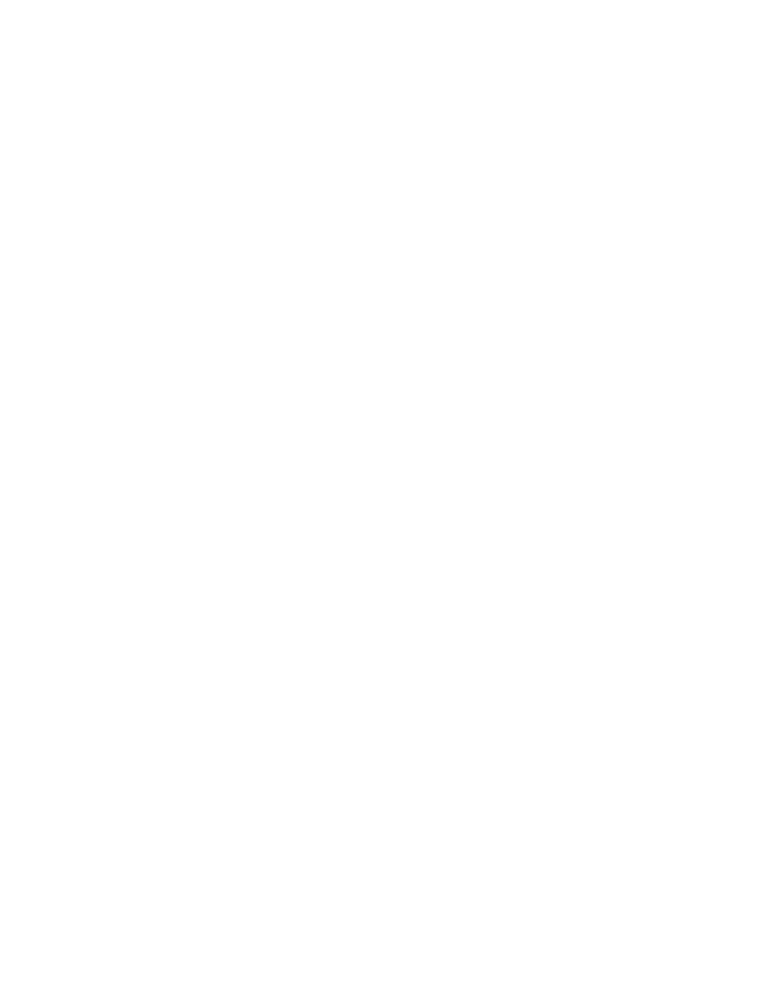- !"! / 11)5)'%\$!#1&(!#\$"%+)"#1/)'%20%' '\*!\$!"(-&(!/)%#-% G&-!\$5%)&\$)1%)"#1,(!#\$%5\$+#%B7
- !!"  $8,(.#*)$ "%3)-% / 11)5)'% $$!#18(!#$%5*+#%67$
- !!!!" %\$.(!#\$"%!\*3#")'%#\$%+)"3#\$')\$("%F#,\$'%+)"3#\$"!21)%5\$+#%887
- &,(.#\*)"%#+% / 33)&1)'%D).!"!#\$"%5\$+#%97 !\$"!

!"! # #"(% (!1!8)'%+)\*)'!&1% # )&",-)"  $\therefore$  ..#\*\*#'&(!#\$"  $\mathcal{A}$ 

@!"+#-%+)"3#\$')\$("%\$+#%8:7 A'! +#-% #\*31&!\$&\$(" %\$+#%; 7

Ţ

 $\mathsf{L}$ 

 $!$ "!  $!$   $!$   $!$   $\frac{1}{2}$   $\frac{1}{2}$   $\frac{1}{2}$   $\frac{1}{2}$   $\frac{1}{2}$   $\frac{1}{2}$   $\frac{1}{2}$   $\frac{1}{2}$   $\frac{1}{2}$   $\frac{1}{2}$   $\frac{1}{2}$   $\frac{1}{2}$   $\frac{1}{2}$   $\frac{1}{2}$   $\frac{1}{2}$   $\frac{1}{2}$   $\frac{1}{2}$   $\frac{1}{2}$   $\frac{1}{2}$   $\frac{1}{2}$   $\frac$ 

- $!!$ " !\*3#-(&\$(% 0)+!\$!(!#\$"
- $\frac{1}{2}$  |  $\frac{1}{2}$  +  $\frac{1}{2}$  +  $\frac{1}{2}$  +  $\frac{1}{2}$  +  $\frac{1}{2}$  +  $\frac{1}{2}$  +  $\frac{1}{2}$  +  $\frac{1}{2}$  +  $\frac{1}{2}$  +  $\frac{1}{2}$  +  $\frac{1}{2}$  +  $\frac{1}{2}$  +  $\frac{1}{2}$  +  $\frac{1}{2}$  +  $\frac{1}{2}$  +  $\frac{1}{2}$  +  $\frac{1}{2}$  +  $\frac{1$

@"!\$'!/!',&1"%+).)!/!\$5%/""!"(&\$.)%9!(4%+)&"#\$&21)%..#\*\*#'&(!#\$" %\$+#%<7

- A!) -!\*&-0%0!"&2!1!(!)"%#+;%##")%+).)!/!\$5% / ""!"(&\$.) %\$+#%>7
- !\$"! %1).()'% !\$!(!&(!/)"%&\$'%/ ..#\*31!"4\*)\$("%!\$% 8B6`EBB6-'

 $@''\%&()5!.%$ ) -#:).("

- A! , -&!\$!\$5 H%, &(!#\$ H&\$'%&,(-)&.4 '
- C!' 0!5!(&1%..)""!2!1!(0 '
- $D! / ...$ "!2!1!(0%!\*3-#/)\*)\$("
- $\vert \hspace{-0.04cm} \vert^{\prime\prime}$  = = 31#0))%/ ..#\*\*#'&(!#\$"
- $J''$  / ..)""!21)%) &-;!\$5